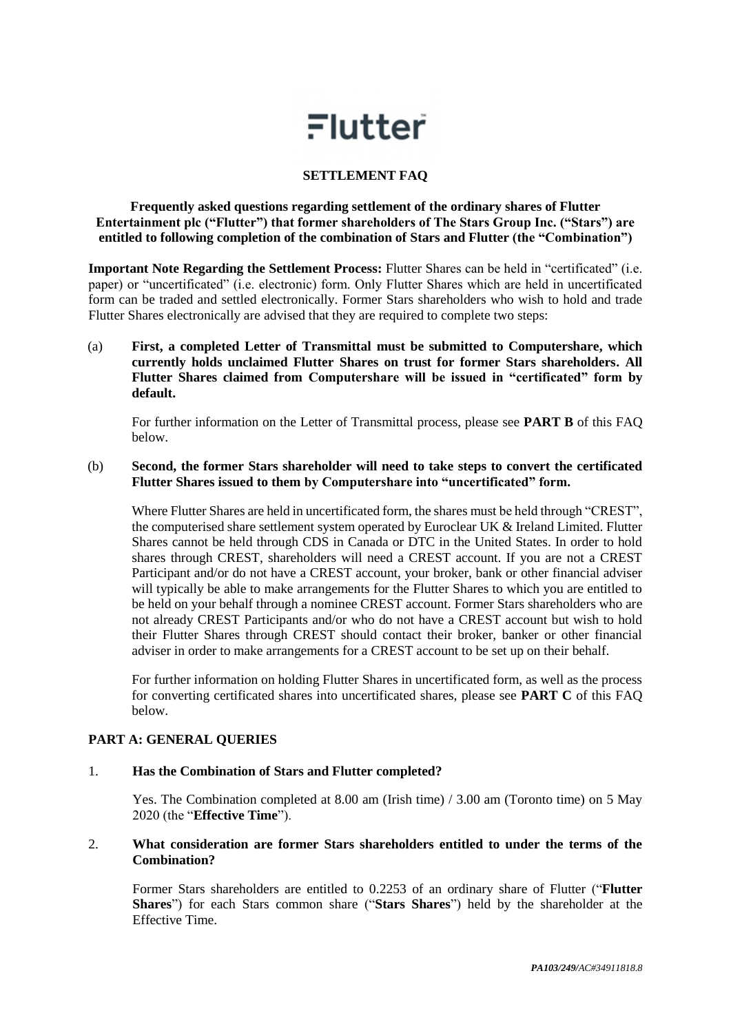# $Flutter$

# **SETTLEMENT FAQ**

**Frequently asked questions regarding settlement of the ordinary shares of Flutter Entertainment plc ("Flutter") that former shareholders of The Stars Group Inc. ("Stars") are entitled to following completion of the combination of Stars and Flutter (the "Combination")**

**Important Note Regarding the Settlement Process:** Flutter Shares can be held in "certificated" (i.e. paper) or "uncertificated" (i.e. electronic) form. Only Flutter Shares which are held in uncertificated form can be traded and settled electronically. Former Stars shareholders who wish to hold and trade Flutter Shares electronically are advised that they are required to complete two steps:

(a) **First, a completed Letter of Transmittal must be submitted to Computershare, which currently holds unclaimed Flutter Shares on trust for former Stars shareholders. All Flutter Shares claimed from Computershare will be issued in "certificated" form by default.** 

For further information on the Letter of Transmittal process, please see **PART B** of this FAQ below.

# (b) **Second, the former Stars shareholder will need to take steps to convert the certificated Flutter Shares issued to them by Computershare into "uncertificated" form.**

Where Flutter Shares are held in uncertificated form, the shares must be held through "CREST", the computerised share settlement system operated by Euroclear UK & Ireland Limited. Flutter Shares cannot be held through CDS in Canada or DTC in the United States. In order to hold shares through CREST, shareholders will need a CREST account. If you are not a CREST Participant and/or do not have a CREST account, your broker, bank or other financial adviser will typically be able to make arrangements for the Flutter Shares to which you are entitled to be held on your behalf through a nominee CREST account. Former Stars shareholders who are not already CREST Participants and/or who do not have a CREST account but wish to hold their Flutter Shares through CREST should contact their broker, banker or other financial adviser in order to make arrangements for a CREST account to be set up on their behalf.

For further information on holding Flutter Shares in uncertificated form, as well as the process for converting certificated shares into uncertificated shares, please see **PART C** of this FAQ below.

# **PART A: GENERAL QUERIES**

# 1. **Has the Combination of Stars and Flutter completed?**

Yes. The Combination completed at 8.00 am (Irish time) / 3.00 am (Toronto time) on 5 May 2020 (the "**Effective Time**").

# 2. **What consideration are former Stars shareholders entitled to under the terms of the Combination?**

Former Stars shareholders are entitled to 0.2253 of an ordinary share of Flutter ("**Flutter Shares**") for each Stars common share ("**Stars Shares**") held by the shareholder at the Effective Time.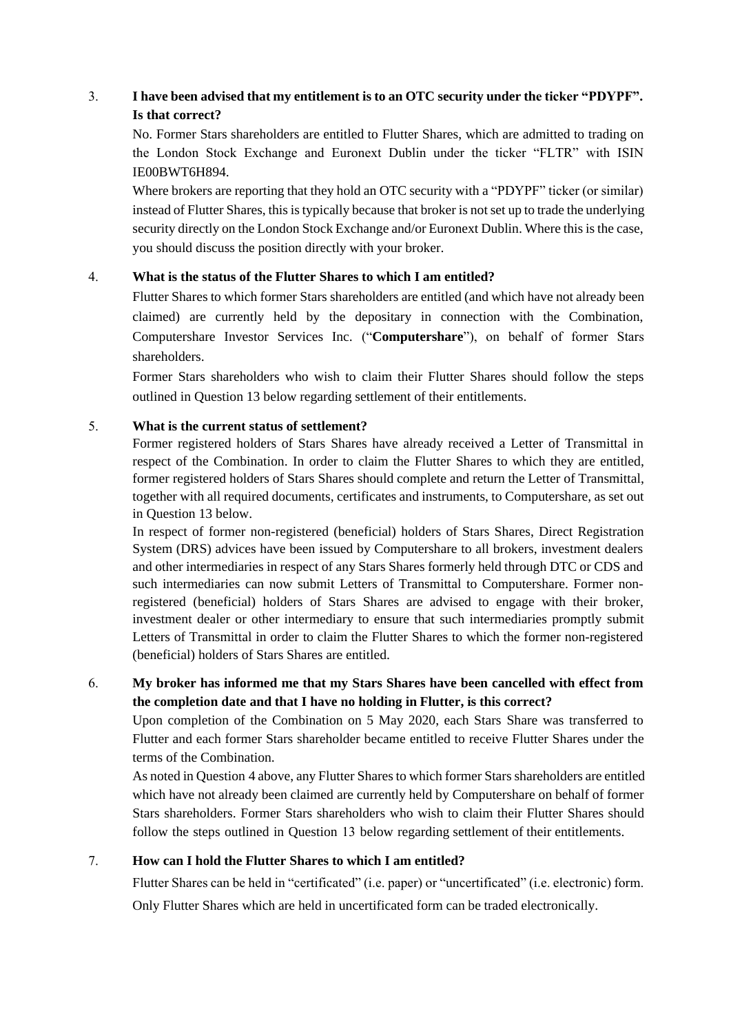# 3. **I have been advised that my entitlement is to an OTC security under the ticker "PDYPF". Is that correct?**

No. Former Stars shareholders are entitled to Flutter Shares, which are admitted to trading on the London Stock Exchange and Euronext Dublin under the ticker "FLTR" with ISIN IE00BWT6H894.

Where brokers are reporting that they hold an OTC security with a "PDYPF" ticker (or similar) instead of Flutter Shares, this is typically because that broker is not set up to trade the underlying security directly on the London Stock Exchange and/or Euronext Dublin. Where this is the case, you should discuss the position directly with your broker.

# <span id="page-1-0"></span>4. **What is the status of the Flutter Shares to which I am entitled?**

Flutter Shares to which former Stars shareholders are entitled (and which have not already been claimed) are currently held by the depositary in connection with the Combination, Computershare Investor Services Inc. ("**Computershare**"), on behalf of former Stars shareholders.

Former Stars shareholders who wish to claim their Flutter Shares should follow the steps outlined in Questio[n 13](#page-3-0) below regarding settlement of their entitlements.

# 5. **What is the current status of settlement?**

Former registered holders of Stars Shares have already received a Letter of Transmittal in respect of the Combination. In order to claim the Flutter Shares to which they are entitled, former registered holders of Stars Shares should complete and return the Letter of Transmittal, together with all required documents, certificates and instruments, to Computershare, as set out in Question 13 below.

In respect [of fo](#page-3-0)rmer non-registered (beneficial) holders of Stars Shares, Direct Registration System (DRS) advices have been issued by Computershare to all brokers, investment dealers and other intermediaries in respect of any Stars Shares formerly held through DTC or CDS and such intermediaries can now submit Letters of Transmittal to Computershare. Former nonregistered (beneficial) holders of Stars Shares are advised to engage with their broker, investment dealer or other intermediary to ensure that such intermediaries promptly submit Letters of Transmittal in order to claim the Flutter Shares to which the former non-registered (beneficial) holders of Stars Shares are entitled.

# 6. **My broker has informed me that my Stars Shares have been cancelled with effect from the completion date and that I have no holding in Flutter, is this correct?**

Upon completion of the Combination on 5 May 2020, each Stars Share was transferred to Flutter and each former Stars shareholder became entitled to receive Flutter Shares under the terms of the Combination.

As noted in Question [4](#page-1-0) above, any Flutter Shares to which former Stars shareholders are entitled which have not already been claimed are currently held by Computershare on behalf of former Stars shareholders. Former Stars shareholders who wish to claim their Flutter Shares should follow the steps outlined in Question 13 below regarding settlement of their entitlements.

# 7. **How can I hold the Flutter Shares to which I am entitled?**

Flutter Shares can be held in "certificated" (i.e. paper) or "uncertificated" (i.e. electronic) form. Only Flutter Shares which are held in uncertificated form can be traded electronically.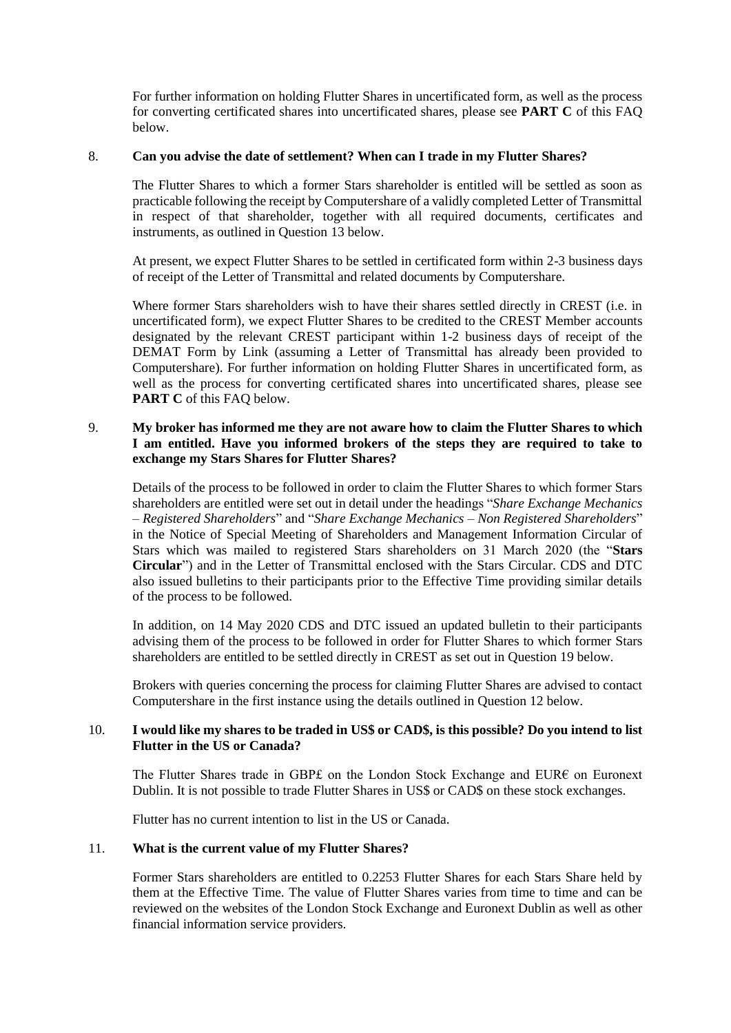For further information on holding Flutter Shares in uncertificated form, as well as the process for converting certificated shares into uncertificated shares, please see **PART C** of this FAQ below.

#### 8. **Can you advise the date of settlement? When can I trade in my Flutter Shares?**

The Flutter Shares to which a former Stars shareholder is entitled will be settled as soon as practicable following the receipt by Computershare of a validly completed Letter of Transmittal in respect of that shareholder, together with all required documents, certificates and instruments, as outlined in Question [13](#page-3-0) below.

At present, we expect Flutter Shares to be settled in certificated form within 2-3 business days of receipt of the Letter of Transmittal and related documents by Computershare.

Where former Stars shareholders wish to have their shares settled directly in CREST (i.e. in uncertificated form), we expect Flutter Shares to be credited to the CREST Member accounts designated by the relevant CREST participant within 1-2 business days of receipt of the DEMAT Form by Link (assuming a Letter of Transmittal has already been provided to Computershare). For further information on holding Flutter Shares in uncertificated form, as well as the process for converting certificated shares into uncertificated shares, please see **PART C** of this FAO below.

# 9. **My broker has informed me they are not aware how to claim the Flutter Shares to which I am entitled. Have you informed brokers of the steps they are required to take to exchange my Stars Shares for Flutter Shares?**

Details of the process to be followed in order to claim the Flutter Shares to which former Stars shareholders are entitled were set out in detail under the headings "*Share Exchange Mechanics – Registered Shareholders*" and "*Share Exchange Mechanics – Non Registered Shareholders*" in the Notice of Special Meeting of Shareholders and Management Information Circular of Stars which was mailed to registered Stars shareholders on 31 March 2020 (the "**Stars Circular**") and in the Letter of Transmittal enclosed with the Stars Circular. CDS and DTC also issued bulletins to their participants prior to the Effective Time providing similar details of the process to be followed.

In addition, on 14 May 2020 CDS and DTC issued an updated bulletin to their participants advising them of the process to be followed in order for Flutter Shares to which former Stars shareholders are entitled to be settled directly in CREST as set out in Question [19](#page-5-0) below.

Brokers with queries concerning the process for claiming Flutter Shares are advised to contact Computershare in the first instance using the details outlined in Question [12](#page-3-1) below.

# 10. **I would like my shares to be traded in US\$ or CAD\$, is this possible? Do you intend to list Flutter in the US or Canada?**

The Flutter Shares trade in GBP£ on the London Stock Exchange and EUR€ on Euronext Dublin. It is not possible to trade Flutter Shares in US\$ or CAD\$ on these stock exchanges.

Flutter has no current intention to list in the US or Canada.

# 11. **What is the current value of my Flutter Shares?**

Former Stars shareholders are entitled to 0.2253 Flutter Shares for each Stars Share held by them at the Effective Time. The value of Flutter Shares varies from time to time and can be reviewed on the websites of the London Stock Exchange and Euronext Dublin as well as other financial information service providers.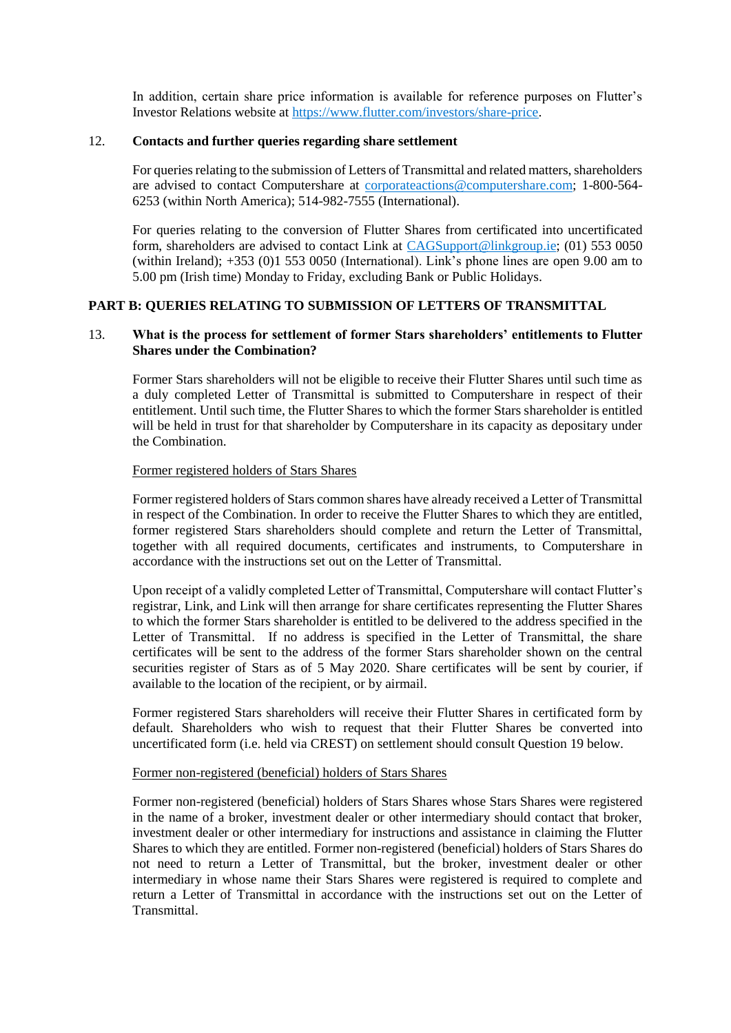In addition, certain share price information is available for reference purposes on Flutter's Investor Relations website at [https://www.flutter.com/investors/share-price.](https://www.flutter.com/investors/share-price)

#### <span id="page-3-1"></span>12. **Contacts and further queries regarding share settlement**

For queries relating to the submission of Letters of Transmittal and related matters, shareholders are advised to contact Computershare at [corporateactions@computershare.com;](mailto:corporateactions@computershare.com) 1-800-564- 6253 (within North America); 514-982-7555 (International).

For queries relating to the conversion of Flutter Shares from certificated into uncertificated form, shareholders are advised to contact Link at [CAGSupport@linkgroup.ie;](mailto:CAGSupport@linkgroup.ie) (01) 553 0050 (within Ireland); +353 (0)1 553 0050 (International). Link's phone lines are open 9.00 am to 5.00 pm (Irish time) Monday to Friday, excluding Bank or Public Holidays.

# **PART B: QUERIES RELATING TO SUBMISSION OF LETTERS OF TRANSMITTAL**

# <span id="page-3-0"></span>13. **What is the process for settlement of former Stars shareholders' entitlements to Flutter Shares under the Combination?**

Former Stars shareholders will not be eligible to receive their Flutter Shares until such time as a duly completed Letter of Transmittal is submitted to Computershare in respect of their entitlement. Until such time, the Flutter Shares to which the former Stars shareholder is entitled will be held in trust for that shareholder by Computershare in its capacity as depositary under the Combination.

#### Former registered holders of Stars Shares

Former registered holders of Stars common shares have already received a Letter of Transmittal in respect of the Combination. In order to receive the Flutter Shares to which they are entitled, former registered Stars shareholders should complete and return the Letter of Transmittal, together with all required documents, certificates and instruments, to Computershare in accordance with the instructions set out on the Letter of Transmittal.

Upon receipt of a validly completed Letter of Transmittal, Computershare will contact Flutter's registrar, Link, and Link will then arrange for share certificates representing the Flutter Shares to which the former Stars shareholder is entitled to be delivered to the address specified in the Letter of Transmittal. If no address is specified in the Letter of Transmittal, the share certificates will be sent to the address of the former Stars shareholder shown on the central securities register of Stars as of 5 May 2020. Share certificates will be sent by courier, if available to the location of the recipient, or by airmail.

Former registered Stars shareholders will receive their Flutter Shares in certificated form by default. Shareholders who wish to request that their Flutter Shares be converted into uncertificated form (i.e. held via CREST) on settlement should consult Question [19](#page-5-0) below.

#### Former non-registered (beneficial) holders of Stars Shares

Former non-registered (beneficial) holders of Stars Shares whose Stars Shares were registered in the name of a broker, investment dealer or other intermediary should contact that broker, investment dealer or other intermediary for instructions and assistance in claiming the Flutter Shares to which they are entitled. Former non-registered (beneficial) holders of Stars Shares do not need to return a Letter of Transmittal, but the broker, investment dealer or other intermediary in whose name their Stars Shares were registered is required to complete and return a Letter of Transmittal in accordance with the instructions set out on the Letter of Transmittal.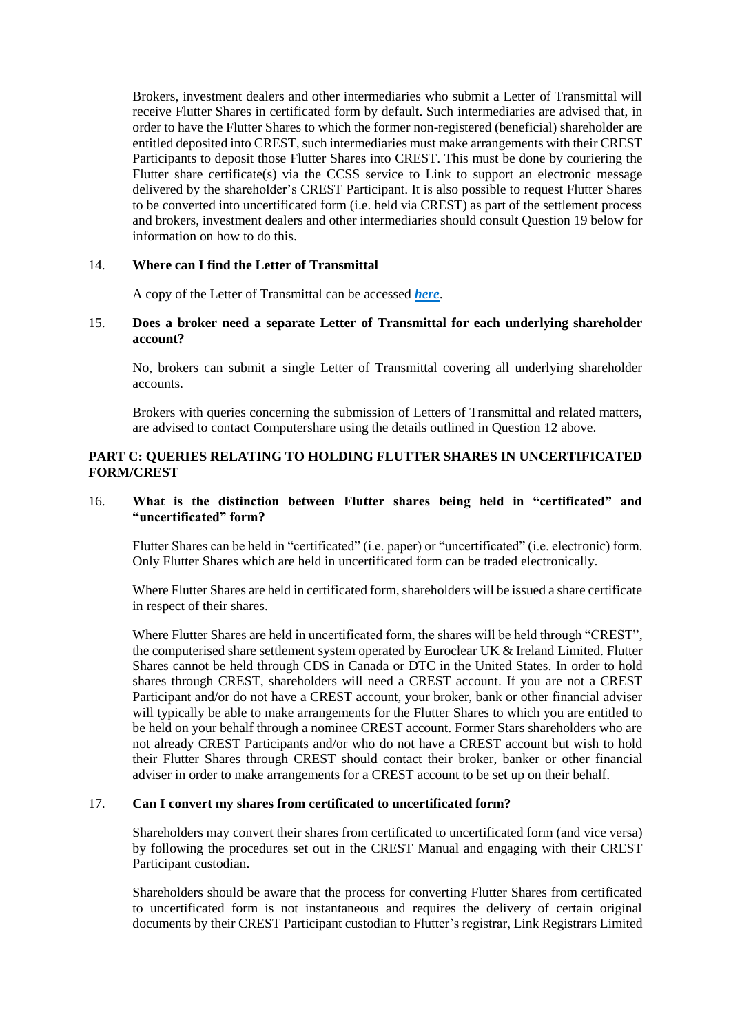Brokers, investment dealers and other intermediaries who submit a Letter of Transmittal will receive Flutter Shares in certificated form by default. Such intermediaries are advised that, in order to have the Flutter Shares to which the former non-registered (beneficial) shareholder are entitled deposited into CREST, such intermediaries must make arrangements with their CREST Participants to deposit those Flutter Shares into CREST. This must be done by couriering the Flutter share certificate(s) via the CCSS service to Link to support an electronic message delivered by the shareholder's CREST Participant. It is also possible to request Flutter Shares to be converted into uncertificated form (i.e. held via CREST) as part of the settlement process and brokers, investment dealers and other intermediaries should consult Question [19](#page-5-0) below for information on how to do this.

# 14. **Where can I find the Letter of Transmittal**

A copy of the Letter of Transmittal can be accessed *[here](https://protect-eu.mimecast.com/s/v1e1C76DQcZyQQLsWHCt3?domain=flutter.com)*.

# 15. **Does a broker need a separate Letter of Transmittal for each underlying shareholder account?**

No, brokers can submit a single Letter of Transmittal covering all underlying shareholder accounts.

Brokers with queries concerning the submission of Letters of Transmittal and related matters, are advised to contact Computershare using the details outlined in Question [12](#page-3-1) above.

# **PART C: QUERIES RELATING TO HOLDING FLUTTER SHARES IN UNCERTIFICATED FORM/CREST**

# 16. **What is the distinction between Flutter shares being held in "certificated" and "uncertificated" form?**

Flutter Shares can be held in "certificated" (i.e. paper) or "uncertificated" (i.e. electronic) form. Only Flutter Shares which are held in uncertificated form can be traded electronically.

Where Flutter Shares are held in certificated form, shareholders will be issued a share certificate in respect of their shares.

Where Flutter Shares are held in uncertificated form, the shares will be held through "CREST", the computerised share settlement system operated by Euroclear UK & Ireland Limited. Flutter Shares cannot be held through CDS in Canada or DTC in the United States. In order to hold shares through CREST, shareholders will need a CREST account. If you are not a CREST Participant and/or do not have a CREST account, your broker, bank or other financial adviser will typically be able to make arrangements for the Flutter Shares to which you are entitled to be held on your behalf through a nominee CREST account. Former Stars shareholders who are not already CREST Participants and/or who do not have a CREST account but wish to hold their Flutter Shares through CREST should contact their broker, banker or other financial adviser in order to make arrangements for a CREST account to be set up on their behalf.

# <span id="page-4-0"></span>17. **Can I convert my shares from certificated to uncertificated form?**

Shareholders may convert their shares from certificated to uncertificated form (and vice versa) by following the procedures set out in the CREST Manual and engaging with their CREST Participant custodian.

Shareholders should be aware that the process for converting Flutter Shares from certificated to uncertificated form is not instantaneous and requires the delivery of certain original documents by their CREST Participant custodian to Flutter's registrar, Link Registrars Limited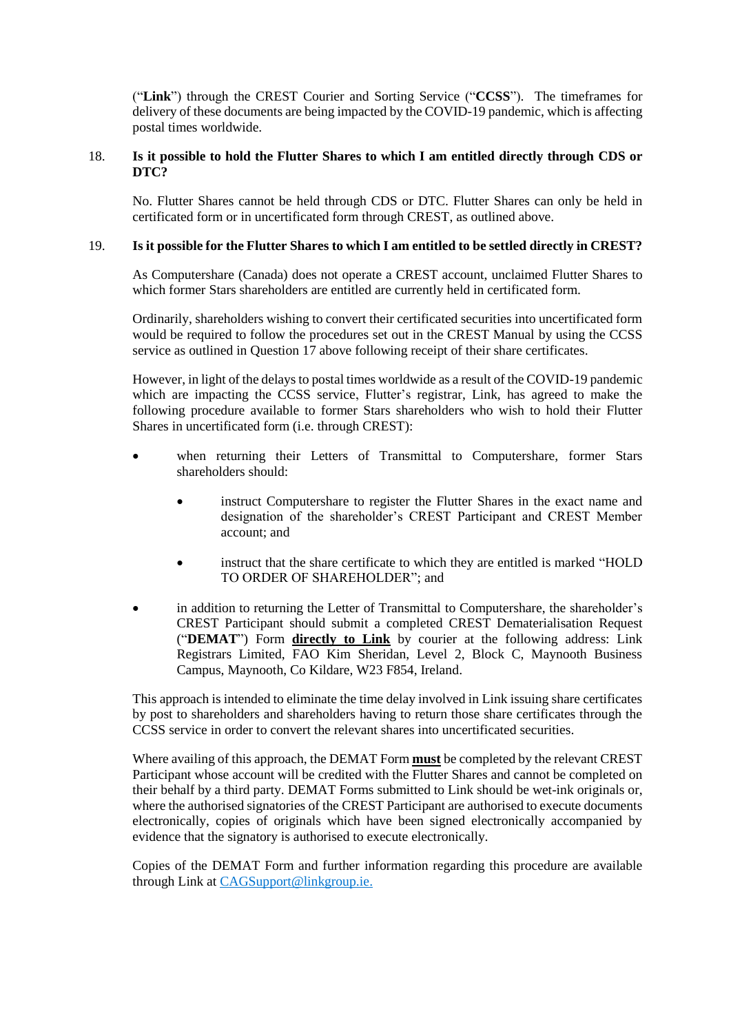("**Link**") through the CREST Courier and Sorting Service ("**CCSS**"). The timeframes for delivery of these documents are being impacted by the COVID-19 pandemic, which is affecting postal times worldwide.

# 18. **Is it possible to hold the Flutter Shares to which I am entitled directly through CDS or DTC?**

No. Flutter Shares cannot be held through CDS or DTC. Flutter Shares can only be held in certificated form or in uncertificated form through CREST, as outlined above.

# <span id="page-5-0"></span>19. **Is it possible for the Flutter Shares to which I am entitled to be settled directly in CREST?**

As Computershare (Canada) does not operate a CREST account, unclaimed Flutter Shares to which former Stars shareholders are entitled are currently held in certificated form.

Ordinarily, shareholders wishing to convert their certificated securities into uncertificated form would be required to follow the procedures set out in the CREST Manual by using the CCSS service as outlined in Question [17](#page-4-0) above following receipt of their share certificates.

However, in light of the delays to postal times worldwide as a result of the COVID-19 pandemic which are impacting the CCSS service, Flutter's registrar, Link, has agreed to make the following procedure available to former Stars shareholders who wish to hold their Flutter Shares in uncertificated form (i.e. through CREST):

- when returning their Letters of Transmittal to Computershare, former Stars shareholders should:
	- instruct Computershare to register the Flutter Shares in the exact name and designation of the shareholder's CREST Participant and CREST Member account; and
	- instruct that the share certificate to which they are entitled is marked "HOLD TO ORDER OF SHAREHOLDER"; and
- in addition to returning the Letter of Transmittal to Computershare, the shareholder's CREST Participant should submit a completed CREST Dematerialisation Request ("**DEMAT**") Form **directly to Link** by courier at the following address: Link Registrars Limited, FAO Kim Sheridan, Level 2, Block C, Maynooth Business Campus, Maynooth, Co Kildare, W23 F854, Ireland.

This approach is intended to eliminate the time delay involved in Link issuing share certificates by post to shareholders and shareholders having to return those share certificates through the CCSS service in order to convert the relevant shares into uncertificated securities.

Where availing of this approach, the DEMAT Form **must** be completed by the relevant CREST Participant whose account will be credited with the Flutter Shares and cannot be completed on their behalf by a third party. DEMAT Forms submitted to Link should be wet-ink originals or, where the authorised signatories of the CREST Participant are authorised to execute documents electronically, copies of originals which have been signed electronically accompanied by evidence that the signatory is authorised to execute electronically.

Copies of the DEMAT Form and further information regarding this procedure are available through Link at [CAGSupport@linkgroup.ie.](mailto:CAGSupport@linkgroup.ie)